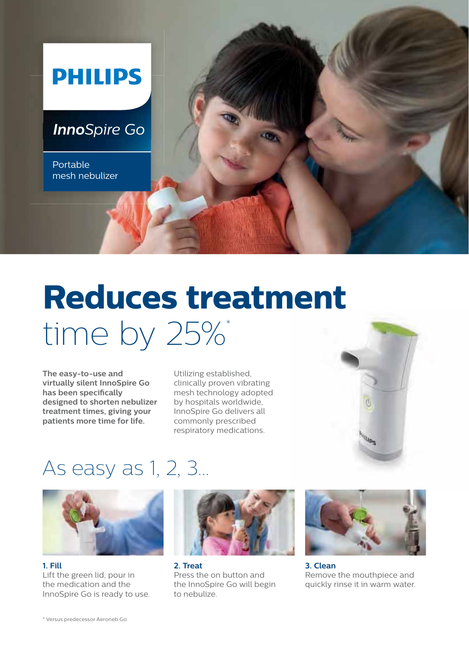

# **Reduces treatment** time by 25%\*

**The easy-to-use and virtually silent InnoSpire Go** has been specifically **designed to shorten nebulizer treatment times, giving your patients more time for life.**

Utilizing established, clinically proven vibrating mesh technology adopted by hospitals worldwide,





## As easy as 1, 2, 3...



**1. Fill** Lift the green lid, pour in the medication and the InnoSpire Go is ready to use.



**2. Treat** Press the on button and the InnoSpire Go will begin to nebulize.



**3. Clean**  Remove the mouthpiece and quickly rinse it in warm water.